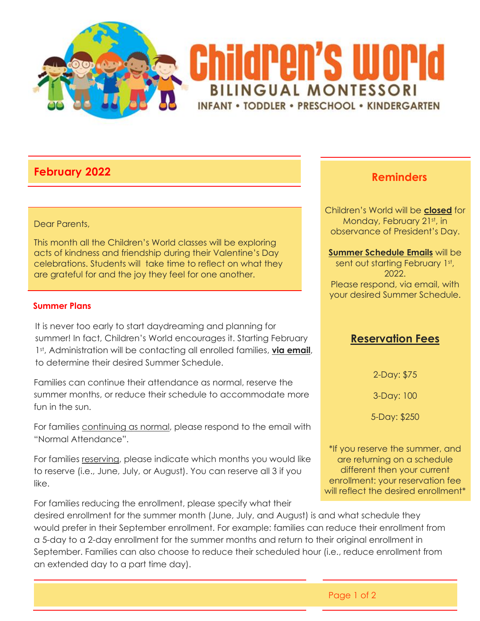

# **February 2022**

#### Dear Parents,

This month all the Children's World classes will be exploring acts of kindness and friendship during their Valentine's Day celebrations. Students will take time to reflect on what they are grateful for and the joy they feel for one another.

#### **Summer Plans**

It is never too early to start daydreaming and planning for summer! In fact, Children's World encourages it. Starting February 1st, Administration will be contacting all enrolled families, **via email**, to determine their desired Summer Schedule.

Families can continue their attendance as normal, reserve the summer months, or reduce their schedule to accommodate more fun in the sun.

For families continuing as normal, please respond to the email with "Normal Attendance".

For families reserving, please indicate which months you would like to reserve (i.e., June, July, or August). You can reserve all 3 if you like.

For families reducing the enrollment, please specify what their

desired enrollment for the summer month (June, July, and August) is and what schedule they would prefer in their September enrollment. For example: families can reduce their enrollment from a 5-day to a 2-day enrollment for the summer months and return to their original enrollment in September. Families can also choose to reduce their scheduled hour (i.e., reduce enrollment from an extended day to a part time day).

# **Reminders**

Children's World will be **closed** for Monday, February 21st, in observance of President's Day.

**Summer Schedule Emails** will be sent out starting February 1st, 2022. Please respond, via email, with your desired Summer Schedule.

### **Reservation Fees**

2-Day: \$75

3-Day: 100

5-Day: \$250

\*If you reserve the summer, and are returning on a schedule different then your current enrollment: your reservation fee will reflect the desired enrollment<sup>\*</sup>